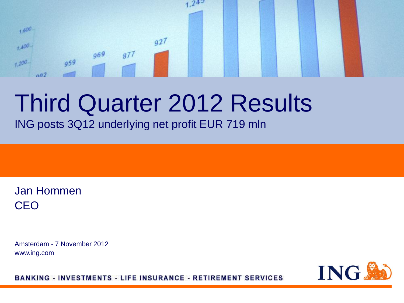#### $24^{5}$  $1,600$  $927$  $1.400 969$  $877$  $959$  $+200$  $002$

# Third Quarter 2012 Results

ING posts 3Q12 underlying net profit EUR 719 mln

Jan Hommen CEO

Amsterdam - 7 November 2012 www.ing.com

**ING!** 

**BANKING - INVESTMENTS - LIFE INSURANCE - RETIREMENT SERVICES**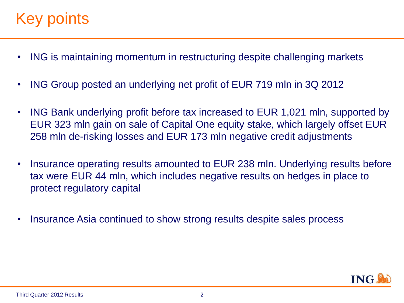## Key points

- ING is maintaining momentum in restructuring despite challenging markets
- ING Group posted an underlying net profit of EUR 719 mln in 3Q 2012
- ING Bank underlying profit before tax increased to EUR 1,021 mln, supported by EUR 323 mln gain on sale of Capital One equity stake, which largely offset EUR 258 mln de-risking losses and EUR 173 mln negative credit adjustments
- Insurance operating results amounted to EUR 238 mln. Underlying results before tax were EUR 44 mln, which includes negative results on hedges in place to protect regulatory capital
- Insurance Asia continued to show strong results despite sales process

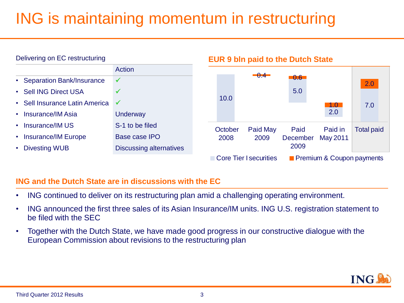# ING is maintaining momentum in restructuring



#### **ING and the Dutch State are in discussions with the EC**

- ING continued to deliver on its restructuring plan amid a challenging operating environment.
- ING announced the first three sales of its Asian Insurance/IM units. ING U.S. registration statement to be filed with the SEC
- Together with the Dutch State, we have made good progress in our constructive dialogue with the European Commission about revisions to the restructuring plan

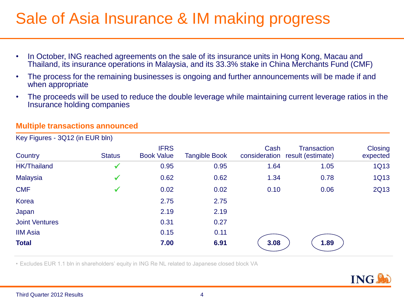### Sale of Asia Insurance & IM making progress

- In October, ING reached agreements on the sale of its insurance units in Hong Kong, Macau and Thailand, its insurance operations in Malaysia, and its 33.3% stake in China Merchants Fund (CMF)
- The process for the remaining businesses is ongoing and further announcements will be made if and when appropriate
- The proceeds will be used to reduce the double leverage while maintaining current leverage ratios in the Insurance holding companies

#### **Multiple transactions announced**

| Country               | <b>Status</b> | <b>IFRS</b><br><b>Book Value</b> | <b>Tangible Book</b> | Cash | <b>Transaction</b><br>consideration result (estimate) | Closing<br>expected |
|-----------------------|---------------|----------------------------------|----------------------|------|-------------------------------------------------------|---------------------|
| <b>HK/Thailand</b>    |               | 0.95                             | 0.95                 | 1.64 | 1.05                                                  | <b>1Q13</b>         |
| Malaysia              |               | 0.62                             | 0.62                 | 1.34 | 0.78                                                  | <b>1Q13</b>         |
| <b>CMF</b>            |               | 0.02                             | 0.02                 | 0.10 | 0.06                                                  | <b>2Q13</b>         |
| Korea                 |               | 2.75                             | 2.75                 |      |                                                       |                     |
| Japan                 |               | 2.19                             | 2.19                 |      |                                                       |                     |
| <b>Joint Ventures</b> |               | 0.31                             | 0.27                 |      |                                                       |                     |
| <b>IIM Asia</b>       |               | 0.15                             | 0.11                 |      |                                                       |                     |
| <b>Total</b>          |               | 7.00                             | 6.91                 | 3.08 | 1.89                                                  |                     |
|                       |               |                                  |                      |      |                                                       |                     |

Key Figures - 3Q12 (in EUR bln)

• Excludes EUR 1.1 bln in shareholders' equity in ING Re NL related to Japanese closed block VA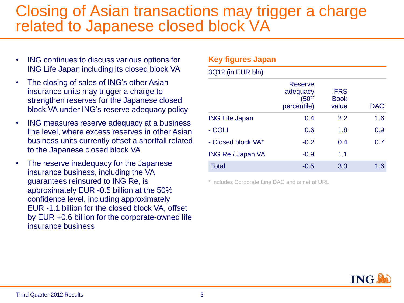#### Closing of Asian transactions may trigger a charge related to Japanese closed block VA

- ING continues to discuss various options for ING Life Japan including its closed block VA
- The closing of sales of ING's other Asian insurance units may trigger a charge to strengthen reserves for the Japanese closed block VA under ING's reserve adequacy policy
- ING measures reserve adequacy at a business line level, where excess reserves in other Asian business units currently offset a shortfall related to the Japanese closed block VA
- The reserve inadequacy for the Japanese insurance business, including the VA guarantees reinsured to ING Re, is approximately EUR -0.5 billion at the 50% confidence level, including approximately EUR -1.1 billion for the closed block VA, offset by EUR +0.6 billion for the corporate-owned life insurance business

| <b>Key figures Japan</b> |                                                           |                                     |     |
|--------------------------|-----------------------------------------------------------|-------------------------------------|-----|
| 3Q12 (in EUR bln)        |                                                           |                                     |     |
|                          | Reserve<br>adequacy<br>(50 <sup>th</sup> )<br>percentile) | <b>IFRS</b><br><b>Book</b><br>value | DAC |
| <b>ING Life Japan</b>    | 0.4                                                       | 2.2                                 | 1.6 |
| - COLI                   | 0.6                                                       | 1.8                                 | 0.9 |
| - Closed block VA*       | $-0.2$                                                    | 0.4                                 | 0.7 |
| <b>ING Re / Japan VA</b> | $-0.9$                                                    | 1.1                                 |     |
| <b>Total</b>             | $-0.5$                                                    | 3.3                                 | 1.6 |

\* Includes Corporate Line DAC and is net of URL

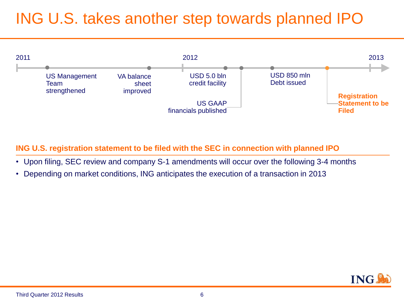# ING U.S. takes another step towards planned IPO



**ING U.S. registration statement to be filed with the SEC in connection with planned IPO**

- Upon filing, SEC review and company S-1 amendments will occur over the following 3-4 months
- Depending on market conditions, ING anticipates the execution of a transaction in 2013

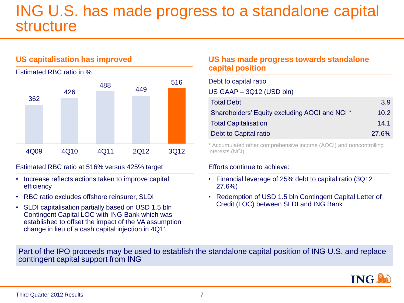#### ING U.S. has made progress to a standalone capital structure



#### **US capitalisation has improved**

Estimated RBC ratio in %

#### Estimated RBC ratio at 516% versus 425% target

- Increase reflects actions taken to improve capital efficiency
- RBC ratio excludes offshore reinsurer, SLDI
- SLDI capitalisation partially based on USD 1.5 bln Contingent Capital LOC with ING Bank which was established to offset the impact of the VA assumption change in lieu of a cash capital injection in 4Q11

#### **US has made progress towards standalone capital position**

| Debt to capital ratio                         |       |
|-----------------------------------------------|-------|
| US GAAP $-$ 3Q12 (USD bln)                    |       |
| <b>Total Debt</b>                             | 3.9   |
| Shareholders' Equity excluding AOCI and NCI * | 10.2  |
| <b>Total Capitalisation</b>                   | 14.1  |
| Debt to Capital ratio                         | 27.6% |

\* Accumulated other comprehensive income (AOCI) and noncontrolling interests (NCI)

#### Efforts continue to achieve:

- Financial leverage of 25% debt to capital ratio (3Q12 27.6%)
- Redemption of USD 1.5 bln Contingent Capital Letter of Credit (LOC) between SLDI and ING Bank

Part of the IPO proceeds may be used to establish the standalone capital position of ING U.S. and replace contingent capital support from ING

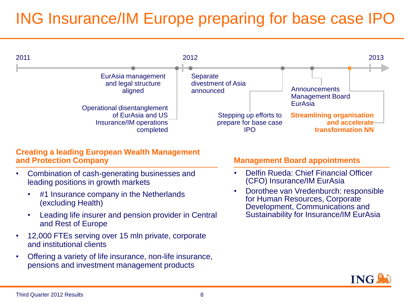# ING Insurance/IM Europe preparing for base case IPO



#### **Creating a leading European Wealth Management and Protection Company**

- Combination of cash-generating businesses and leading positions in growth markets
	- #1 Insurance company in the Netherlands (excluding Health)
	- Leading life insurer and pension provider in Central and Rest of Europe
- 12,000 FTEs serving over 15 mln private, corporate and institutional clients
- Offering a variety of life insurance, non-life insurance, pensions and investment management products

#### **Management Board appointments**

- Delfin Rueda: Chief Financial Officer (CFO) Insurance/IM EurAsia
- Dorothee van Vredenburch: responsible for Human Resources, Corporate Development, Communications and Sustainability for Insurance/IM EurAsia

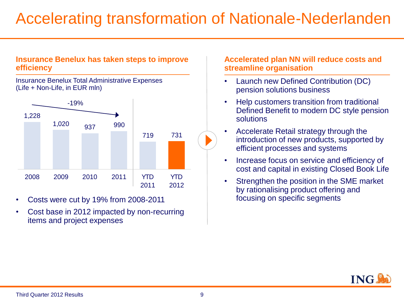### Accelerating transformation of Nationale-Nederlanden

#### **Insurance Benelux has taken steps to improve efficiency**

Insurance Benelux Total Administrative Expenses (Life + Non-Life, in EUR mln)



- Costs were cut by 19% from 2008-2011 focusing on specific segments
- Cost base in 2012 impacted by non-recurring items and project expenses

#### **Accelerated plan NN will reduce costs and streamline organisation**

- Launch new Defined Contribution (DC) pension solutions business
- Help customers transition from traditional Defined Benefit to modern DC style pension solutions
- Accelerate Retail strategy through the introduction of new products, supported by efficient processes and systems
- Increase focus on service and efficiency of cost and capital in existing Closed Book Life
- Strengthen the position in the SME market by rationalising product offering and

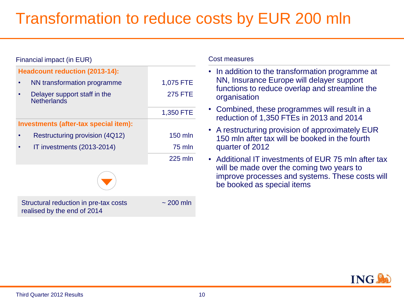## Transformation to reduce costs by EUR 200 mln

| Financial impact (in EUR)                                                                                                       |                             | <b>Cost measures</b>                                                                                                                                                              |
|---------------------------------------------------------------------------------------------------------------------------------|-----------------------------|-----------------------------------------------------------------------------------------------------------------------------------------------------------------------------------|
| <b>Headcount reduction (2013-14):</b><br>NN transformation programme<br>٠<br>Delayer support staff in the<br><b>Netherlands</b> | 1,075 FTE<br><b>275 FTE</b> | • In addition to the transformation programme at<br>NN, Insurance Europe will delayer support<br>functions to reduce overlap and streamline the<br>organisation                   |
|                                                                                                                                 | 1,350 FTE                   | • Combined, these programmes will result in a<br>reduction of 1,350 FTEs in 2013 and 2014                                                                                         |
| Investments (after-tax special item):<br>Restructuring provision (4Q12)<br>IT investments (2013-2014)<br>$\bullet$              | 150 mln<br>75 mln           | • A restructuring provision of approximately EUR<br>150 mln after tax will be booked in the fourth<br>quarter of 2012                                                             |
|                                                                                                                                 | 225 mln                     | • Additional IT investments of EUR 75 mln after tax<br>will be made over the coming two years to<br>improve processes and systems. These costs will<br>be booked as special items |
| Structural reduction in pre-tax costs<br>realised by the end of 2014                                                            | $\sim$ 200 mln              |                                                                                                                                                                                   |

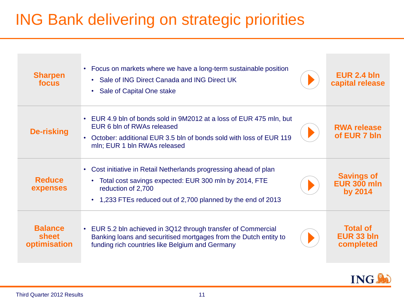## ING Bank delivering on strategic priorities

| <b>Sharpen</b><br>focus                 | • Focus on markets where we have a long-term sustainable position<br>• Sale of ING Direct Canada and ING Direct UK<br>• Sale of Capital One stake                                                                | EUR 2.4 bln<br>capital release                     |
|-----------------------------------------|------------------------------------------------------------------------------------------------------------------------------------------------------------------------------------------------------------------|----------------------------------------------------|
| De-risking                              | • EUR 4.9 bln of bonds sold in 9M2012 at a loss of EUR 475 mln, but<br>EUR 6 bln of RWAs released<br>October: additional EUR 3.5 bln of bonds sold with loss of EUR 119<br>mln; EUR 1 bln RWAs released          | <b>RWA release</b><br>of EUR 7 bln                 |
| <b>Reduce</b><br>expenses               | Cost initiative in Retail Netherlands progressing ahead of plan<br>• Total cost savings expected: EUR 300 mln by 2014, FTE<br>reduction of 2,700<br>• 1,233 FTEs reduced out of 2,700 planned by the end of 2013 | <b>Savings of</b><br><b>EUR 300 mln</b><br>by 2014 |
| <b>Balance</b><br>sheet<br>optimisation | EUR 5.2 bln achieved in 3Q12 through transfer of Commercial<br>$\bullet$<br>Banking loans and securitised mortgages from the Dutch entity to<br>funding rich countries like Belgium and Germany                  | <b>Total of</b><br>EUR 33 bln<br>completed         |

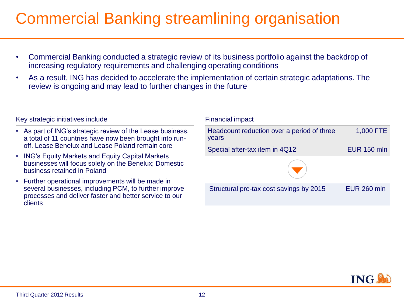### Commercial Banking streamlining organisation

- Commercial Banking conducted a strategic review of its business portfolio against the backdrop of increasing regulatory requirements and challenging operating conditions
- As a result, ING has decided to accelerate the implementation of certain strategic adaptations. The review is ongoing and may lead to further changes in the future

#### Key strategic initiatives include

- As part of ING's strategic review of the Lease business, a total of 11 countries have now been brought into runoff. Lease Benelux and Lease Poland remain core
- ING's Equity Markets and Equity Capital Markets businesses will focus solely on the Benelux; Domestic business retained in Poland
- Further operational improvements will be made in several businesses, including PCM, to further improve processes and deliver faster and better service to our **clients**

#### Structural pre-tax cost savings by 2015 EUR 260 mln Financial impact Headcount reduction over a period of three years 1,000 FTE Special after-tax item in 4Q12 EUR 150 mln

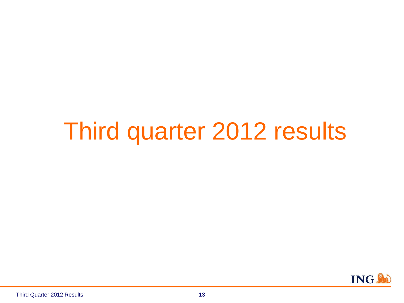# Third quarter 2012 results

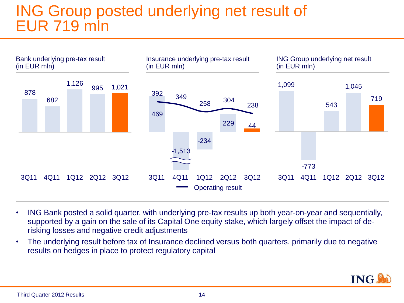### ING Group posted underlying net result of EUR 719 mln



- ING Bank posted a solid quarter, with underlying pre-tax results up both year-on-year and sequentially, supported by a gain on the sale of its Capital One equity stake, which largely offset the impact of derisking losses and negative credit adjustments
- The underlying result before tax of Insurance declined versus both quarters, primarily due to negative results on hedges in place to protect regulatory capital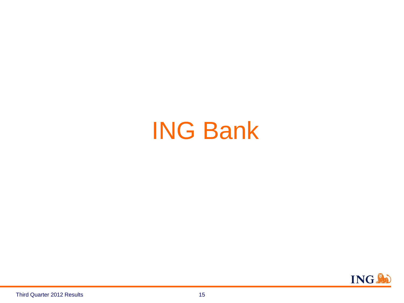# ING Bank

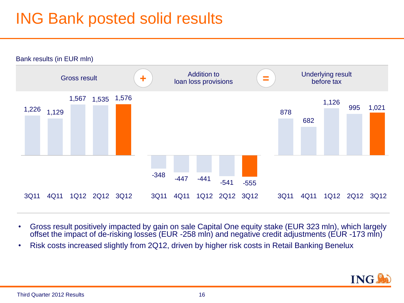## ING Bank posted solid results



- Gross result positively impacted by gain on sale Capital One equity stake (EUR 323 mln), which largely offset the impact of de-risking losses (EUR -258 mln) and negative credit adjustments (EUR -173 mln)
- Risk costs increased slightly from 2Q12, driven by higher risk costs in Retail Banking Benelux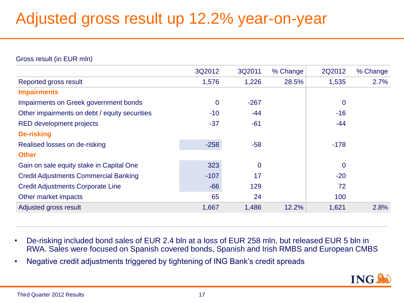## Adjusted gross result up 12.2% year-on-year

Gross result (in EUR mln)

|                                               | 3Q2012      | 3Q2011         | % Change | 2Q2012         | % Change |
|-----------------------------------------------|-------------|----------------|----------|----------------|----------|
| Reported gross result                         | 1,576       | 1,226          | 28.5%    | 1,535          | 2.7%     |
| <b>Impairments</b>                            |             |                |          |                |          |
| Impairments on Greek government bonds         | $\mathbf 0$ | $-267$         |          | $\mathbf 0$    |          |
| Other impairments on debt / equity securities | $-10$       | $-44$          |          | $-16$          |          |
| <b>RED development projects</b>               | $-37$       | $-61$          |          | $-44$          |          |
| <b>De-risking</b>                             |             |                |          |                |          |
| Realised losses on de-risking                 | $-258$      | $-58$          |          | $-178$         |          |
| <b>Other</b>                                  |             |                |          |                |          |
| Gain on sale equity stake in Capital One      | 323         | $\overline{0}$ |          | $\overline{0}$ |          |
| <b>Credit Adjustments Commercial Banking</b>  | $-107$      | 17             |          | $-20$          |          |
| <b>Credit Adjustments Corporate Line</b>      | $-66$       | 129            |          | 72             |          |
| Other market impacts                          | 65          | 24             |          | 100            |          |
| Adjusted gross result                         | 1,667       | 1,486          | 12.2%    | 1,621          | 2.8%     |

- De-risking included bond sales of EUR 2.4 bln at a loss of EUR 258 mln, but released EUR 5 bln in RWA. Sales were focused on Spanish covered bonds, Spanish and Irish RMBS and European CMBS
- Negative credit adjustments triggered by tightening of ING Bank's credit spreads

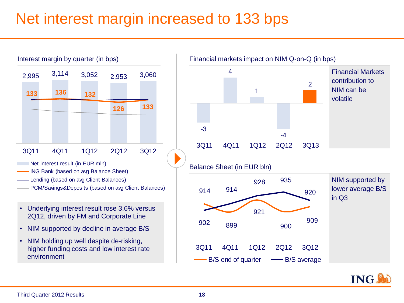### Net interest margin increased to 133 bps



- Lending (based on avg Client Balances)
- PCM/Savings&Deposits (based on avg Client Balances)
- Underlying interest result rose 3.6% versus 2Q12, driven by FM and Corporate Line
- NIM supported by decline in average B/S
- NIM holding up well despite de-risking, higher funding costs and low interest rate environment

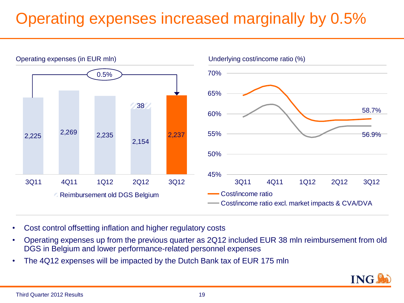# Operating expenses increased marginally by 0.5%



- Cost control offsetting inflation and higher regulatory costs
- Operating expenses up from the previous quarter as 2Q12 included EUR 38 mln reimbursement from old DGS in Belgium and lower performance-related personnel expenses
- The 4Q12 expenses will be impacted by the Dutch Bank tax of EUR 175 mln

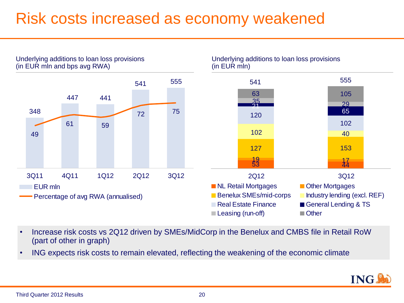### Risk costs increased as economy weakened



- Increase risk costs vs 2Q12 driven by SMEs/MidCorp in the Benelux and CMBS file in Retail RoW (part of other in graph)
- ING expects risk costs to remain elevated, reflecting the weakening of the economic climate

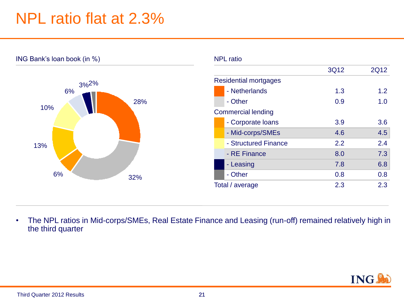### NPL ratio flat at 2.3%



• The NPL ratios in Mid-corps/SMEs, Real Estate Finance and Leasing (run-off) remained relatively high in the third quarter

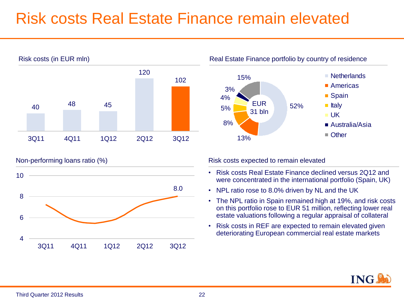### Risk costs Real Estate Finance remain elevated







Non-performing loans ratio (%) expected to remain elevated to remain elevated to remain elevated

- Risk costs Real Estate Finance declined versus 2Q12 and were concentrated in the international portfolio (Spain, UK)
- NPL ratio rose to 8.0% driven by NL and the UK
- The NPL ratio in Spain remained high at 19%, and risk costs on this portfolio rose to EUR 51 million, reflecting lower real estate valuations following a regular appraisal of collateral
- Risk costs in REF are expected to remain elevated given deteriorating European commercial real estate markets

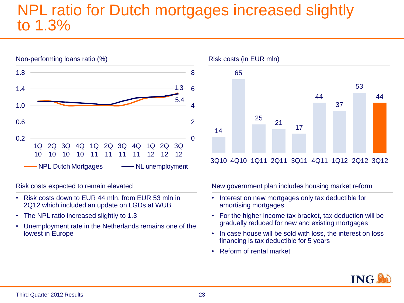#### NPL ratio for Dutch mortgages increased slightly to 1.3%



Risk costs expected to remain elevated

- Risk costs down to EUR 44 mln, from EUR 53 mln in 2Q12 which included an update on LGDs at WUB
- The NPL ratio increased slightly to 1.3
- Unemployment rate in the Netherlands remains one of the lowest in Europe



3Q10 4Q10 1Q11 2Q11 3Q11 4Q11 1Q12 2Q12 3Q12

New government plan includes housing market reform

- Interest on new mortgages only tax deductible for amortising mortgages
- For the higher income tax bracket, tax deduction will be gradually reduced for new and existing mortgages
- In case house will be sold with loss, the interest on loss financing is tax deductible for 5 years
- Reform of rental market

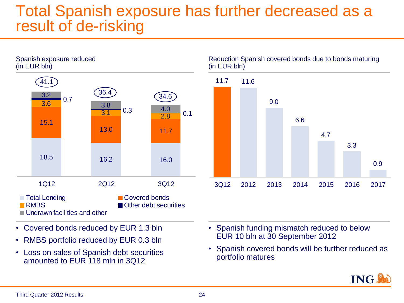#### Total Spanish exposure has further decreased as a result of de-risking



- Covered bonds reduced by EUR 1.3 bln
- RMBS portfolio reduced by EUR 0.3 bln
- Loss on sales of Spanish debt securities amounted to EUR 118 mln in 3Q12
- Spanish funding mismatch reduced to below EUR 10 bln at 30 September 2012
- Spanish covered bonds will be further reduced as portfolio matures



0.9

3.3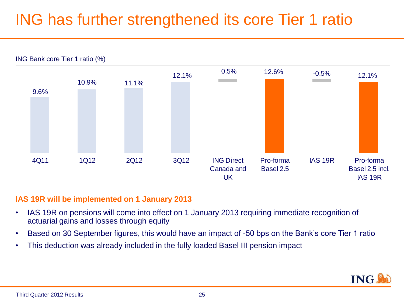# ING has further strengthened its core Tier 1 ratio



#### **IAS 19R will be implemented on 1 January 2013**

- IAS 19R on pensions will come into effect on 1 January 2013 requiring immediate recognition of actuarial gains and losses through equity
- Based on 30 September figures, this would have an impact of -50 bps on the Bank's core Tier 1 ratio
- This deduction was already included in the fully loaded Basel III pension impact

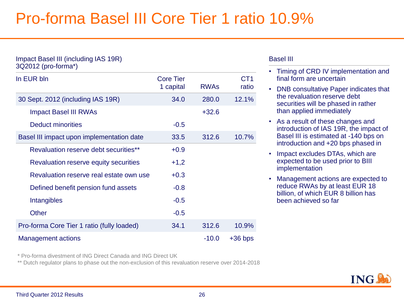### Pro-forma Basel III Core Tier 1 ratio 10.9%

| Impact Basel III (including IAS 19R)<br>3Q2012 (pro-forma*) |                               |             |                          |
|-------------------------------------------------------------|-------------------------------|-------------|--------------------------|
| In EUR bln                                                  | <b>Core Tier</b><br>1 capital | <b>RWAS</b> | CT <sub>1</sub><br>ratio |
| 30 Sept. 2012 (including IAS 19R)                           | 34.0                          | 280.0       | 12.1%                    |
| <b>Impact Basel III RWAs</b>                                |                               | $+32.6$     |                          |
| Deduct minorities                                           | $-0.5$                        |             |                          |
| Basel III impact upon implementation date                   | 33.5                          | 312.6       | 10.7%                    |
| Revaluation reserve debt securities**                       | $+0.9$                        |             |                          |
| Revaluation reserve equity securities                       | $+1,2$                        |             |                          |
| Revaluation reserve real estate own use                     | $+0.3$                        |             |                          |
| Defined benefit pension fund assets                         | $-0.8$                        |             |                          |
| Intangibles                                                 | $-0.5$                        |             |                          |
| <b>Other</b>                                                | $-0.5$                        |             |                          |
| Pro-forma Core Tier 1 ratio (fully loaded)                  | 34.1                          | 312.6       | 10.9%                    |
| Management actions                                          |                               | $-10.0$     | $+36$ bps                |

#### Basel III

- Timing of CRD IV implementation and final form are uncertain
- DNB consultative Paper indicates that the revaluation reserve debt securities will be phased in rather than applied immediately
- As a result of these changes and introduction of IAS 19R, the impact of Basel III is estimated at -140 bps on introduction and +20 bps phased in
- Impact excludes DTAs, which are expected to be used prior to BIII implementation
- Management actions are expected to reduce RWAs by at least EUR 18 billion, of which EUR 8 billion has been achieved so far

\* Pro-forma divestment of ING Direct Canada and ING Direct UK

\*\* Dutch regulator plans to phase out the non-exclusion of this revaluation reserve over 2014-2018

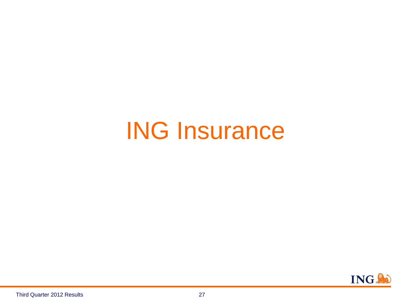# ING Insurance

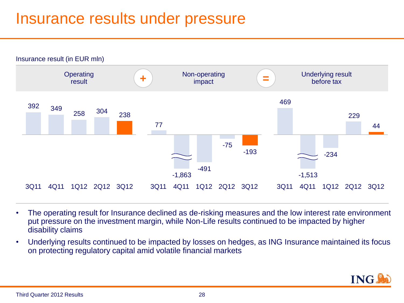### Insurance results under pressure



- The operating result for Insurance declined as de-risking measures and the low interest rate environment put pressure on the investment margin, while Non-Life results continued to be impacted by higher disability claims
- Underlying results continued to be impacted by losses on hedges, as ING Insurance maintained its focus on protecting regulatory capital amid volatile financial markets

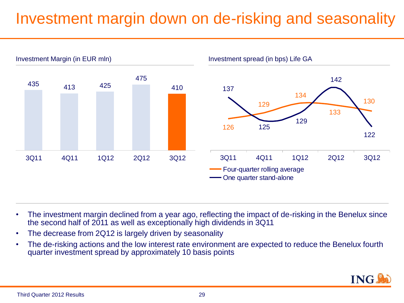### Investment margin down on de-risking and seasonality



- The investment margin declined from a year ago, reflecting the impact of de-risking in the Benelux since the second half of 2011 as well as exceptionally high dividends in 3Q11
- The decrease from 2Q12 is largely driven by seasonality
- The de-risking actions and the low interest rate environment are expected to reduce the Benelux fourth quarter investment spread by approximately 10 basis points

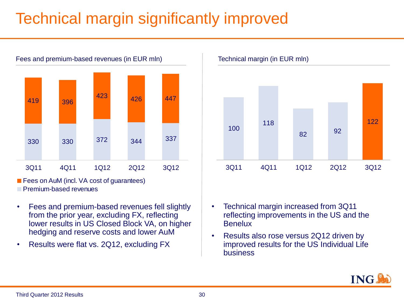# Technical margin significantly improved



**Premium-based revenues** 

- Fees and premium-based revenues fell slightly from the prior year, excluding FX, reflecting lower results in US Closed Block VA, on higher hedging and reserve costs and lower AuM
- Results were flat vs. 2Q12, excluding FX





- Technical margin increased from 3Q11 reflecting improvements in the US and the **Benelux**
- Results also rose versus 2Q12 driven by improved results for the US Individual Life business

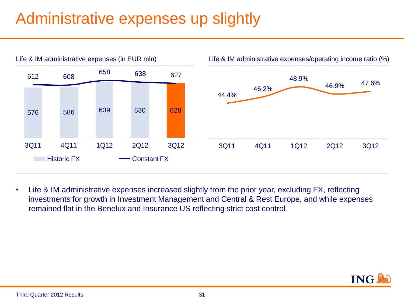# Administrative expenses up slightly



• Life & IM administrative expenses increased slightly from the prior year, excluding FX, reflecting investments for growth in Investment Management and Central & Rest Europe, and while expenses remained flat in the Benelux and Insurance US reflecting strict cost control

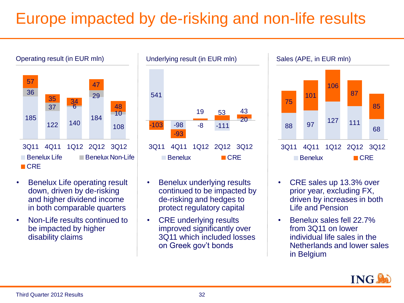# Europe impacted by de-risking and non-life results



- Benelux Life operating result down, driven by de-risking and higher dividend income in both comparable quarters
- Non-Life results continued to be impacted by higher disability claims



- Benelux underlying results continued to be impacted by de-risking and hedges to protect regulatory capital
- CRE underlying results improved significantly over 3Q11 which included losses on Greek gov't bonds



- CRE sales up 13.3% over prior year, excluding FX, driven by increases in both Life and Pension
- Benelux sales fell 22.7% from 3Q11 on lower individual life sales in the Netherlands and lower sales in Belgium

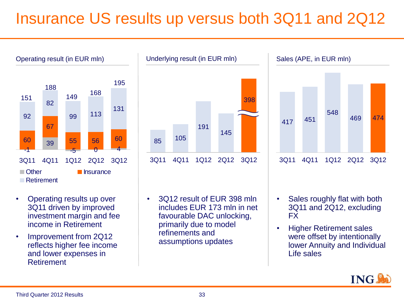## Insurance US results up versus both 3Q11 and 2Q12



<sup>85</sup> <sup>105</sup> 191 145 398 3Q11 4Q11 1Q12 2Q12 3Q12 Underlying result (in EUR mln)



Sales (APE, in EUR mln)



- Operating results up over 3Q11 driven by improved investment margin and fee income in Retirement
- Improvement from 2Q12 reflects higher fee income and lower expenses in Retirement
- 3Q12 result of EUR 398 mln includes EUR 173 mln in net favourable DAC unlocking, primarily due to model refinements and assumptions updates
- Sales roughly flat with both 3Q11 and 2Q12, excluding FX
- Higher Retirement sales were offset by intentionally lower Annuity and Individual Life sales

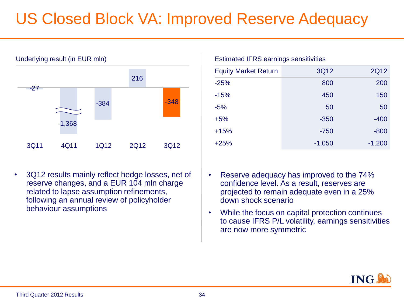# US Closed Block VA: Improved Reserve Adequacy



• 3Q12 results mainly reflect hedge losses, net of reserve changes, and a EUR 104 mln charge related to lapse assumption refinements, following an annual review of policyholder behaviour assumptions

| <b>Estimated IFRS earnings sensitivities</b> |          |             |  |  |
|----------------------------------------------|----------|-------------|--|--|
| <b>Equity Market Return</b>                  | 3Q12     | <b>2Q12</b> |  |  |
| $-25%$                                       | 800      | 200         |  |  |
| $-15%$                                       | 450      | 150         |  |  |
| $-5%$                                        | 50       | 50          |  |  |
| $+5%$                                        | $-350$   | $-400$      |  |  |
| $+15%$                                       | $-750$   | $-800$      |  |  |
| $+25%$                                       | $-1,050$ | $-1,200$    |  |  |

- Reserve adequacy has improved to the 74% confidence level. As a result, reserves are projected to remain adequate even in a 25% down shock scenario
- While the focus on capital protection continues to cause IFRS P/L volatility, earnings sensitivities are now more symmetric

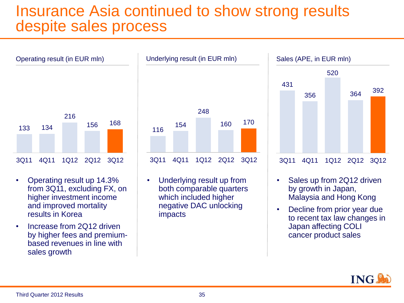#### Insurance Asia continued to show strong results despite sales process



- Operating result up 14.3% from 3Q11, excluding FX, on higher investment income and improved mortality results in Korea
- Increase from 2Q12 driven by higher fees and premiumbased revenues in line with sales growth



• Underlying result up from both comparable quarters which included higher negative DAC unlocking impacts



- Sales up from 2Q12 driven by growth in Japan, Malaysia and Hong Kong
- Decline from prior year due to recent tax law changes in Japan affecting COLI cancer product sales

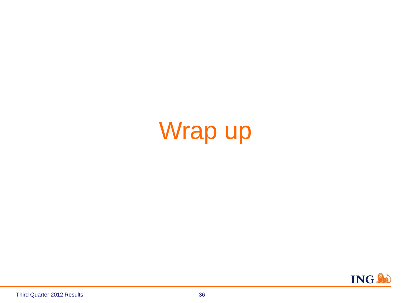# Wrap up

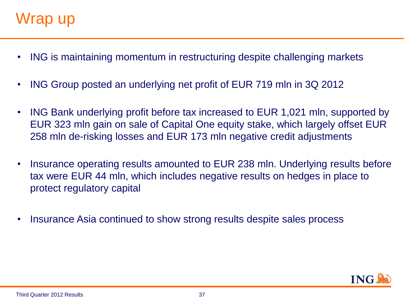- ING is maintaining momentum in restructuring despite challenging markets
- ING Group posted an underlying net profit of EUR 719 mln in 3Q 2012
- ING Bank underlying profit before tax increased to EUR 1,021 mln, supported by EUR 323 mln gain on sale of Capital One equity stake, which largely offset EUR 258 mln de-risking losses and EUR 173 mln negative credit adjustments
- Insurance operating results amounted to EUR 238 mln. Underlying results before tax were EUR 44 mln, which includes negative results on hedges in place to protect regulatory capital
- Insurance Asia continued to show strong results despite sales process